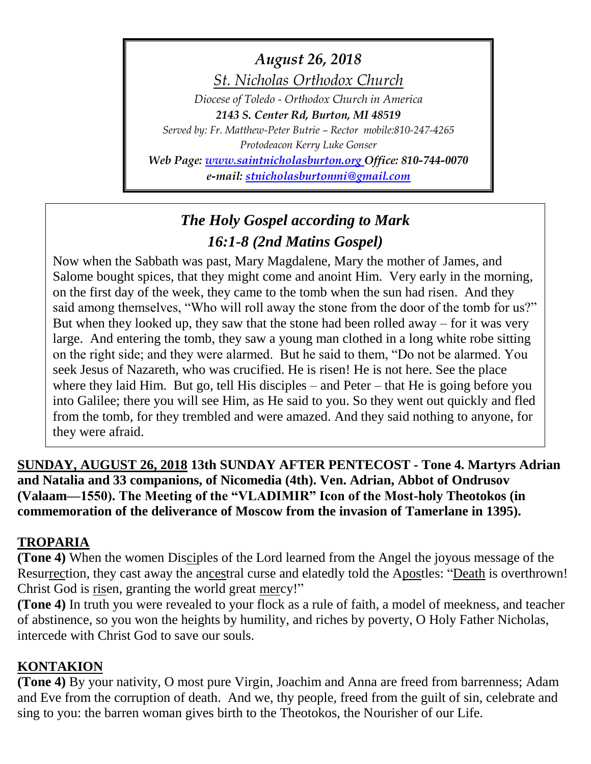*August 26, 2018*

*St. Nicholas Orthodox Church*

*Diocese of Toledo - Orthodox Church in America 2143 S. Center Rd, Burton, MI 48519*

*Served by: Fr. Matthew-Peter Butrie – Rector mobile:810-247-4265 Protodeacon Kerry Luke Gonser*

*Web Page: [www.saintnicholasburton.org](http://www.saintnicholasburton.org/) Office: 810-744-0070 e-mail: [stnicholasburtonmi@gmail.com](mailto:stnicholasburtonmi@gmail.com)*

# *The Holy Gospel according to Mark 16:1-8 (2nd Matins Gospel)*

Now when the Sabbath was past, Mary Magdalene, Mary the mother of James, and Salome bought spices, that they might come and anoint Him. Very early in the morning, on the first day of the week, they came to the tomb when the sun had risen. And they said among themselves, "Who will roll away the stone from the door of the tomb for us?" But when they looked up, they saw that the stone had been rolled away – for it was very large. And entering the tomb, they saw a young man clothed in a long white robe sitting on the right side; and they were alarmed. But he said to them, "Do not be alarmed. You seek Jesus of Nazareth, who was crucified. He is risen! He is not here. See the place where they laid Him. But go, tell His disciples – and Peter – that He is going before you into Galilee; there you will see Him, as He said to you. So they went out quickly and fled from the tomb, for they trembled and were amazed. And they said nothing to anyone, for they were afraid.

**SUNDAY, AUGUST 26, 2018 13th SUNDAY AFTER PENTECOST - Tone 4. Martyrs Adrian and Natalia and 33 companions, of Nicomedia (4th). Ven. Adrian, Abbot of Ondrusov (Valaam—1550). The Meeting of the "VLADIMIR" Icon of the Most-holy Theotokos (in commemoration of the deliverance of Moscow from the invasion of Tamerlane in 1395).**

# **TROPARIA**

**(Tone 4)** When the women Disciples of the Lord learned from the Angel the joyous message of the Resurrection, they cast away the ancestral curse and elatedly told the Apostles: "Death is overthrown! Christ God is risen, granting the world great mercy!"

**(Tone 4)** In truth you were revealed to your flock as a rule of faith, a model of meekness, and teacher of abstinence, so you won the heights by humility, and riches by poverty, O Holy Father Nicholas, intercede with Christ God to save our souls.

## **KONTAKION**

**(Tone 4)** By your nativity, O most pure Virgin, Joachim and Anna are freed from barrenness; Adam and Eve from the corruption of death. And we, thy people, freed from the guilt of sin, celebrate and sing to you: the barren woman gives birth to the Theotokos, the Nourisher of our Life.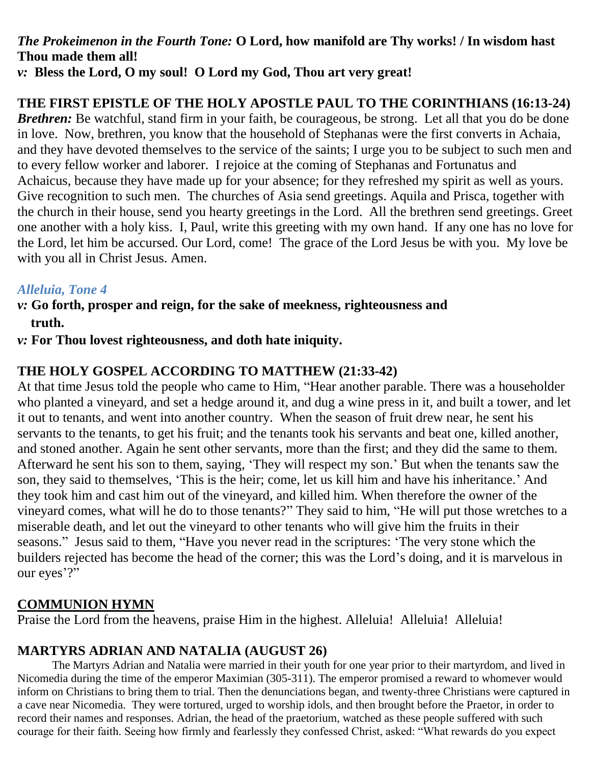# *The Prokeimenon in the Fourth Tone:* **O Lord, how manifold are Thy works! / In wisdom hast Thou made them all!**

*v:* **Bless the Lord, O my soul! O Lord my God, Thou art very great!** 

# **THE FIRST EPISTLE OF THE HOLY APOSTLE PAUL TO THE CORINTHIANS (16:13-24)**

*Brethren:* Be watchful, stand firm in your faith, be courageous, be strong. Let all that you do be done in love. Now, brethren, you know that the household of Stephanas were the first converts in Achaia, and they have devoted themselves to the service of the saints; I urge you to be subject to such men and to every fellow worker and laborer. I rejoice at the coming of Stephanas and Fortunatus and Achaicus, because they have made up for your absence; for they refreshed my spirit as well as yours. Give recognition to such men. The churches of Asia send greetings. Aquila and Prisca, together with the church in their house, send you hearty greetings in the Lord. All the brethren send greetings. Greet one another with a holy kiss. I, Paul, write this greeting with my own hand. If any one has no love for the Lord, let him be accursed. Our Lord, come! The grace of the Lord Jesus be with you. My love be with you all in Christ Jesus. Amen.

### *Alleluia, Tone 4*

- *v:* **Go forth, prosper and reign, for the sake of meekness, righteousness and truth.**
- *v:* **For Thou lovest righteousness, and doth hate iniquity.**

## **THE HOLY GOSPEL ACCORDING TO MATTHEW (21:33-42)**

At that time Jesus told the people who came to Him, "Hear another parable. There was a householder who planted a vineyard, and set a hedge around it, and dug a wine press in it, and built a tower, and let it out to tenants, and went into another country. When the season of fruit drew near, he sent his servants to the tenants, to get his fruit; and the tenants took his servants and beat one, killed another, and stoned another. Again he sent other servants, more than the first; and they did the same to them. Afterward he sent his son to them, saying, 'They will respect my son.' But when the tenants saw the son, they said to themselves, 'This is the heir; come, let us kill him and have his inheritance.' And they took him and cast him out of the vineyard, and killed him. When therefore the owner of the vineyard comes, what will he do to those tenants?" They said to him, "He will put those wretches to a miserable death, and let out the vineyard to other tenants who will give him the fruits in their seasons." Jesus said to them, "Have you never read in the scriptures: 'The very stone which the builders rejected has become the head of the corner; this was the Lord's doing, and it is marvelous in our eyes'?"

## **COMMUNION HYMN**

Praise the Lord from the heavens, praise Him in the highest. Alleluia! Alleluia! Alleluia!

## **MARTYRS ADRIAN AND NATALIA (AUGUST 26)**

The Martyrs Adrian and Natalia were married in their youth for one year prior to their martyrdom, and lived in Nicomedia during the time of the emperor Maximian (305-311). The emperor promised a reward to whomever would inform on Christians to bring them to trial. Then the denunciations began, and twenty-three Christians were captured in a cave near Nicomedia. They were tortured, urged to worship idols, and then brought before the Praetor, in order to record their names and responses. Adrian, the head of the praetorium, watched as these people suffered with such courage for their faith. Seeing how firmly and fearlessly they confessed Christ, asked: "What rewards do you expect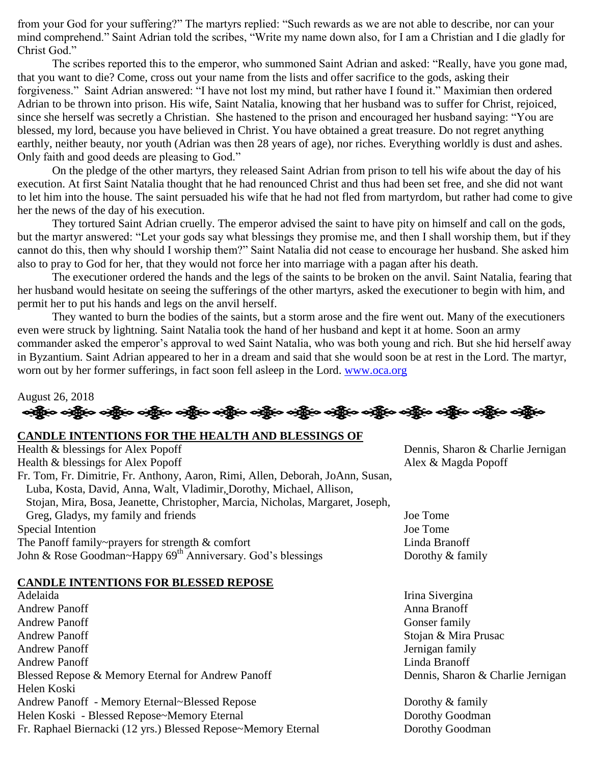from your God for your suffering?" The martyrs replied: "Such rewards as we are not able to describe, nor can your mind comprehend." Saint Adrian told the scribes, "Write my name down also, for I am a Christian and I die gladly for Christ God."

The scribes reported this to the emperor, who summoned Saint Adrian and asked: "Really, have you gone mad, that you want to die? Come, cross out your name from the lists and offer sacrifice to the gods, asking their forgiveness." Saint Adrian answered: "I have not lost my mind, but rather have I found it." Maximian then ordered Adrian to be thrown into prison. His wife, Saint Natalia, knowing that her husband was to suffer for Christ, rejoiced, since she herself was secretly a Christian. She hastened to the prison and encouraged her husband saying: "You are blessed, my lord, because you have believed in Christ. You have obtained a great treasure. Do not regret anything earthly, neither beauty, nor youth (Adrian was then 28 years of age), nor riches. Everything worldly is dust and ashes. Only faith and good deeds are pleasing to God."

On the pledge of the other martyrs, they released Saint Adrian from prison to tell his wife about the day of his execution. At first Saint Natalia thought that he had renounced Christ and thus had been set free, and she did not want to let him into the house. The saint persuaded his wife that he had not fled from martyrdom, but rather had come to give her the news of the day of his execution.

They tortured Saint Adrian cruelly. The emperor advised the saint to have pity on himself and call on the gods, but the martyr answered: "Let your gods say what blessings they promise me, and then I shall worship them, but if they cannot do this, then why should I worship them?" Saint Natalia did not cease to encourage her husband. She asked him also to pray to God for her, that they would not force her into marriage with a pagan after his death.

The executioner ordered the hands and the legs of the saints to be broken on the anvil. Saint Natalia, fearing that her husband would hesitate on seeing the sufferings of the other martyrs, asked the executioner to begin with him, and permit her to put his hands and legs on the anvil herself.

They wanted to burn the bodies of the saints, but a storm arose and the fire went out. Many of the executioners even were struck by lightning. Saint Natalia took the hand of her husband and kept it at home. Soon an army commander asked the emperor's approval to wed Saint Natalia, who was both young and rich. But she hid herself away in Byzantium. Saint Adrian appeared to her in a dream and said that she would soon be at rest in the Lord. The martyr, worn out by her former sufferings, in fact soon fell asleep in the Lord. [www.oca.org](http://www.oca.org/)

### August 26, 2018 ခရွို့က ခရွိက ခရွိက သို့မာ သည်။ သန္တိုက သန္တိုက သန္တိုက သန္တိုက သန္တိုက သန္တိုက သန္တိုက သန္တိုက သန္တိုက

#### **CANDLE INTENTIONS FOR THE HEALTH AND BLESSINGS OF**

| Health & blessings for Alex Popoff                                             | Dennis, Sharon & Charlie Jernigan |
|--------------------------------------------------------------------------------|-----------------------------------|
| Health & blessings for Alex Popoff                                             | Alex & Magda Popoff               |
| Fr. Tom, Fr. Dimitrie, Fr. Anthony, Aaron, Rimi, Allen, Deborah, JoAnn, Susan, |                                   |
| Luba, Kosta, David, Anna, Walt, Vladimir, Dorothy, Michael, Allison,           |                                   |
| Stojan, Mira, Bosa, Jeanette, Christopher, Marcia, Nicholas, Margaret, Joseph, |                                   |
| Greg, Gladys, my family and friends                                            | Joe Tome                          |
| Special Intention                                                              | Joe Tome                          |
| The Panoff family~prayers for strength & comfort                               | Linda Branoff                     |
| John & Rose Goodman~Happy 69 <sup>th</sup> Anniversary. God's blessings        | Dorothy & family                  |
|                                                                                |                                   |

#### **CANDLE INTENTIONS FOR BLESSED REPOSE**

Adelaida Irina Sivergina Andrew Panoff **Anna Branch** Anna Branoff **Anna Branch Anna Branoff** Andrew Panoff Gonser family Andrew Panoff Stojan & Mira Prusac Andrew Panoff Jernigan family Andrew Panoff Linda Branoff Blessed Repose & Memory Eternal for Andrew Panoff Dennis, Sharon & Charlie Jernigan Helen Koski Andrew Panoff - Memory Eternal~Blessed Repose Dorothy & family Helen Koski - Blessed Repose~Memory Eternal Dorothy Goodman Fr. Raphael Biernacki (12 yrs.) Blessed Repose~Memory Eternal Dorothy Goodman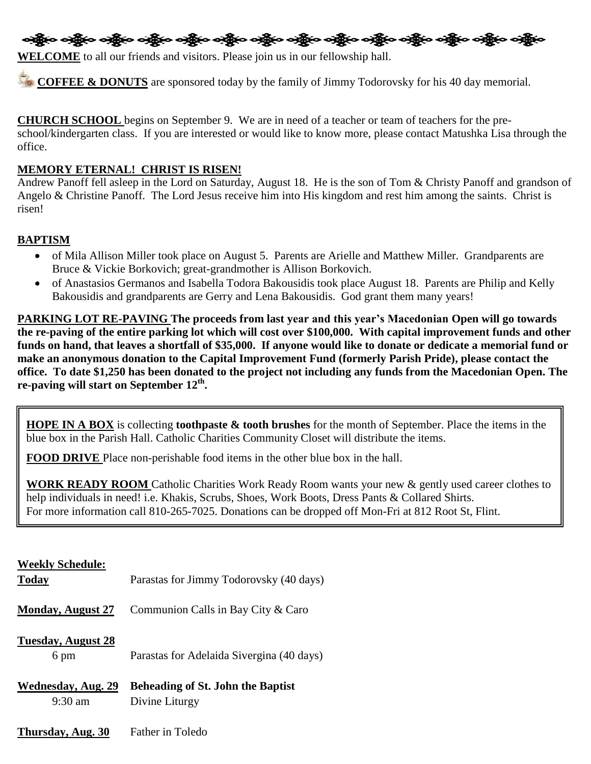

**WELCOME** to all our friends and visitors. Please join us in our fellowship hall.

**COFFEE & DONUTS** are sponsored today by the family of Jimmy Todorovsky for his 40 day memorial.

**CHURCH SCHOOL** begins on September 9. We are in need of a teacher or team of teachers for the preschool/kindergarten class. If you are interested or would like to know more, please contact Matushka Lisa through the office.

#### **MEMORY ETERNAL! CHRIST IS RISEN!**

Andrew Panoff fell asleep in the Lord on Saturday, August 18. He is the son of Tom & Christy Panoff and grandson of Angelo & Christine Panoff. The Lord Jesus receive him into His kingdom and rest him among the saints. Christ is risen!

#### **BAPTISM**

- of Mila Allison Miller took place on August 5. Parents are Arielle and Matthew Miller. Grandparents are Bruce & Vickie Borkovich; great-grandmother is Allison Borkovich.
- of Anastasios Germanos and Isabella Todora Bakousidis took place August 18. Parents are Philip and Kelly Bakousidis and grandparents are Gerry and Lena Bakousidis. God grant them many years!

**PARKING LOT RE-PAVING The proceeds from last year and this year's Macedonian Open will go towards the re-paving of the entire parking lot which will cost over \$100,000. With capital improvement funds and other funds on hand, that leaves a shortfall of \$35,000. If anyone would like to donate or dedicate a memorial fund or make an anonymous donation to the Capital Improvement Fund (formerly Parish Pride), please contact the office. To date \$1,250 has been donated to the project not including any funds from the Macedonian Open. The re-paving will start on September 12th .**

**HOPE IN A BOX** is collecting **toothpaste & tooth brushes** for the month of September. Place the items in the blue box in the Parish Hall. Catholic Charities Community Closet will distribute the items.

**FOOD DRIVE** Place non-perishable food items in the other blue box in the hall.

**WORK READY ROOM** Catholic Charities Work Ready Room wants your new & gently used career clothes to help individuals in need! i.e. Khakis, Scrubs, Shoes, Work Boots, Dress Pants & Collared Shirts. For more information call 810-265-7025. Donations can be dropped off Mon-Fri at 812 Root St, Flint.

#### **Weekly Schedule:**

| <b>Today</b>                                   | Parastas for Jimmy Todorovsky (40 days)                    |
|------------------------------------------------|------------------------------------------------------------|
| <b>Monday, August 27</b>                       | Communion Calls in Bay City & Caro                         |
| <b>Tuesday, August 28</b><br>6 pm              | Parastas for Adelaida Sivergina (40 days)                  |
| <b>Wednesday, Aug. 29</b><br>$9:30 \text{ am}$ | <b>Beheading of St. John the Baptist</b><br>Divine Liturgy |
| Thursday, Aug. 30                              | Father in Toledo                                           |